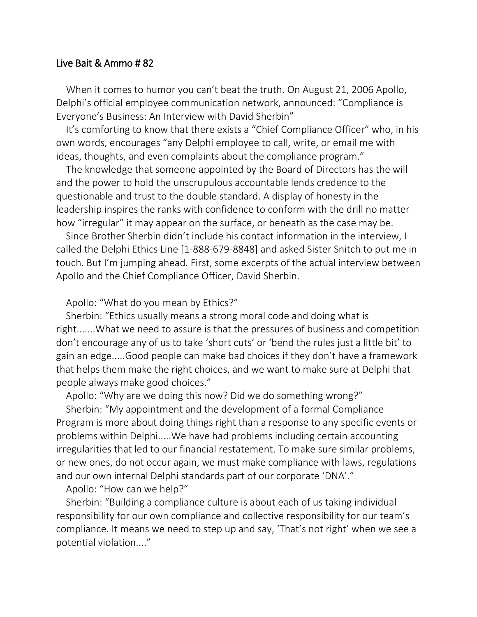## Live Bait & Ammo # 82

When it comes to humor you can't beat the truth. On August 21, 2006 Apollo, Delphi's official employee communication network, announced: "Compliance is Everyone's Business: An Interview with David Sherbin"

It's comforting to know that there exists a "Chief Compliance Officer" who, in his own words, encourages "any Delphi employee to call, write, or email me with ideas, thoughts, and even complaints about the compliance program."

The knowledge that someone appointed by the Board of Directors has the will and the power to hold the unscrupulous accountable lends credence to the questionable and trust to the double standard. A display of honesty in the leadership inspires the ranks with confidence to conform with the drill no matter how "irregular" it may appear on the surface, or beneath as the case may be.

Since Brother Sherbin didn't include his contact information in the interview, I called the Delphi Ethics Line [1-888-679-8848] and asked Sister Snitch to put me in touch. But I'm jumping ahead. First, some excerpts of the actual interview between Apollo and the Chief Compliance Officer, David Sherbin.

Apollo: "What do you mean by Ethics?"

Sherbin: "Ethics usually means a strong moral code and doing what is right.......What we need to assure is that the pressures of business and competition don't encourage any of us to take 'short cuts' or 'bend the rules just a little bit' to gain an edge.....Good people can make bad choices if they don't have a framework that helps them make the right choices, and we want to make sure at Delphi that people always make good choices."

Apollo: "Why are we doing this now? Did we do something wrong?"

Sherbin: "My appointment and the development of a formal Compliance Program is more about doing things right than a response to any specific events or problems within Delphi.....We have had problems including certain accounting irregularities that led to our financial restatement. To make sure similar problems, or new ones, do not occur again, we must make compliance with laws, regulations and our own internal Delphi standards part of our corporate 'DNA'."

Apollo: "How can we help?"

Sherbin: "Building a compliance culture is about each of us taking individual responsibility for our own compliance and collective responsibility for our team's compliance. It means we need to step up and say, 'That's not right' when we see a potential violation...."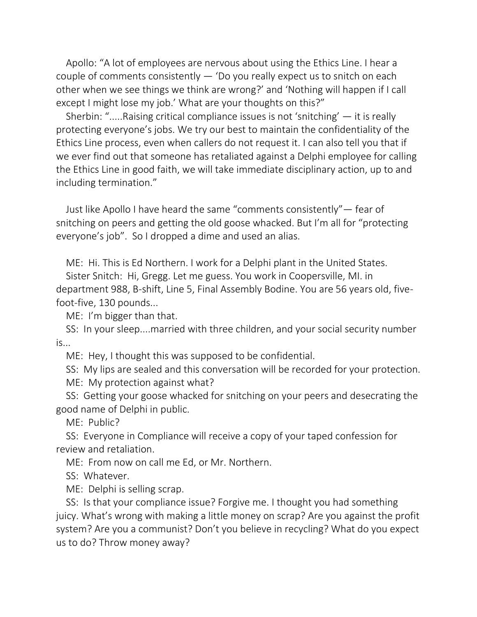Apollo: "A lot of employees are nervous about using the Ethics Line. I hear a couple of comments consistently — 'Do you really expect us to snitch on each other when we see things we think are wrong?' and 'Nothing will happen if I call except I might lose my job.' What are your thoughts on this?"

Sherbin: ".....Raising critical compliance issues is not 'snitching' — it is really protecting everyone's jobs. We try our best to maintain the confidentiality of the Ethics Line process, even when callers do not request it. I can also tell you that if we ever find out that someone has retaliated against a Delphi employee for calling the Ethics Line in good faith, we will take immediate disciplinary action, up to and including termination."

Just like Apollo I have heard the same "comments consistently"— fear of snitching on peers and getting the old goose whacked. But I'm all for "protecting everyone's job". So I dropped a dime and used an alias.

ME: Hi. This is Ed Northern. I work for a Delphi plant in the United States.

Sister Snitch: Hi, Gregg. Let me guess. You work in Coopersville, MI. in department 988, B-shift, Line 5, Final Assembly Bodine. You are 56 years old, fivefoot-five, 130 pounds...

ME: I'm bigger than that.

SS: In your sleep....married with three children, and your social security number is...

ME: Hey, I thought this was supposed to be confidential.

SS: My lips are sealed and this conversation will be recorded for your protection. ME: My protection against what?

SS: Getting your goose whacked for snitching on your peers and desecrating the good name of Delphi in public.

ME: Public?

SS: Everyone in Compliance will receive a copy of your taped confession for review and retaliation.

ME: From now on call me Ed, or Mr. Northern.

SS: Whatever.

ME: Delphi is selling scrap.

SS: Is that your compliance issue? Forgive me. I thought you had something juicy. What's wrong with making a little money on scrap? Are you against the profit system? Are you a communist? Don't you believe in recycling? What do you expect us to do? Throw money away?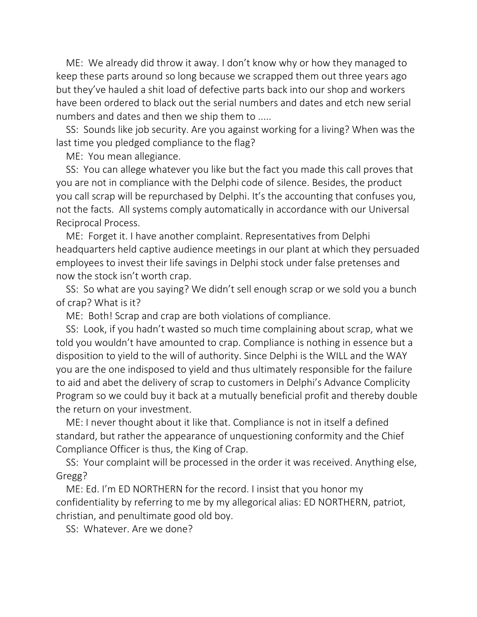ME: We already did throw it away. I don't know why or how they managed to keep these parts around so long because we scrapped them out three years ago but they've hauled a shit load of defective parts back into our shop and workers have been ordered to black out the serial numbers and dates and etch new serial numbers and dates and then we ship them to .....

SS: Sounds like job security. Are you against working for a living? When was the last time you pledged compliance to the flag?

ME: You mean allegiance.

SS: You can allege whatever you like but the fact you made this call proves that you are not in compliance with the Delphi code of silence. Besides, the product you call scrap will be repurchased by Delphi. It's the accounting that confuses you, not the facts. All systems comply automatically in accordance with our Universal Reciprocal Process.

ME: Forget it. I have another complaint. Representatives from Delphi headquarters held captive audience meetings in our plant at which they persuaded employees to invest their life savings in Delphi stock under false pretenses and now the stock isn't worth crap.

SS: So what are you saying? We didn't sell enough scrap or we sold you a bunch of crap? What is it?

ME: Both! Scrap and crap are both violations of compliance.

SS: Look, if you hadn't wasted so much time complaining about scrap, what we told you wouldn't have amounted to crap. Compliance is nothing in essence but a disposition to yield to the will of authority. Since Delphi is the WILL and the WAY you are the one indisposed to yield and thus ultimately responsible for the failure to aid and abet the delivery of scrap to customers in Delphi's Advance Complicity Program so we could buy it back at a mutually beneficial profit and thereby double the return on your investment.

ME: I never thought about it like that. Compliance is not in itself a defined standard, but rather the appearance of unquestioning conformity and the Chief Compliance Officer is thus, the King of Crap.

SS: Your complaint will be processed in the order it was received. Anything else, Gregg?

ME: Ed. I'm ED NORTHERN for the record. I insist that you honor my confidentiality by referring to me by my allegorical alias: ED NORTHERN, patriot, christian, and penultimate good old boy.

SS: Whatever. Are we done?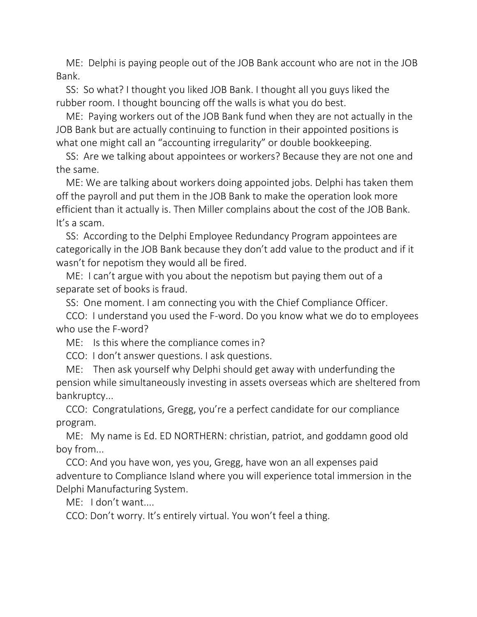ME: Delphi is paying people out of the JOB Bank account who are not in the JOB Bank.

SS: So what? I thought you liked JOB Bank. I thought all you guys liked the rubber room. I thought bouncing off the walls is what you do best.

ME: Paying workers out of the JOB Bank fund when they are not actually in the JOB Bank but are actually continuing to function in their appointed positions is what one might call an "accounting irregularity" or double bookkeeping.

SS: Are we talking about appointees or workers? Because they are not one and the same.

ME: We are talking about workers doing appointed jobs. Delphi has taken them off the payroll and put them in the JOB Bank to make the operation look more efficient than it actually is. Then Miller complains about the cost of the JOB Bank. It's a scam.

SS: According to the Delphi Employee Redundancy Program appointees are categorically in the JOB Bank because they don't add value to the product and if it wasn't for nepotism they would all be fired.

ME: I can't argue with you about the nepotism but paying them out of a separate set of books is fraud.

SS: One moment. I am connecting you with the Chief Compliance Officer.

CCO: I understand you used the F-word. Do you know what we do to employees who use the F-word?

ME: Is this where the compliance comes in?

CCO: I don't answer questions. I ask questions.

ME: Then ask yourself why Delphi should get away with underfunding the pension while simultaneously investing in assets overseas which are sheltered from bankruptcy...

CCO: Congratulations, Gregg, you're a perfect candidate for our compliance program.

ME: My name is Ed. ED NORTHERN: christian, patriot, and goddamn good old boy from...

CCO: And you have won, yes you, Gregg, have won an all expenses paid adventure to Compliance Island where you will experience total immersion in the Delphi Manufacturing System.

ME: I don't want....

CCO: Don't worry. It's entirely virtual. You won't feel a thing.